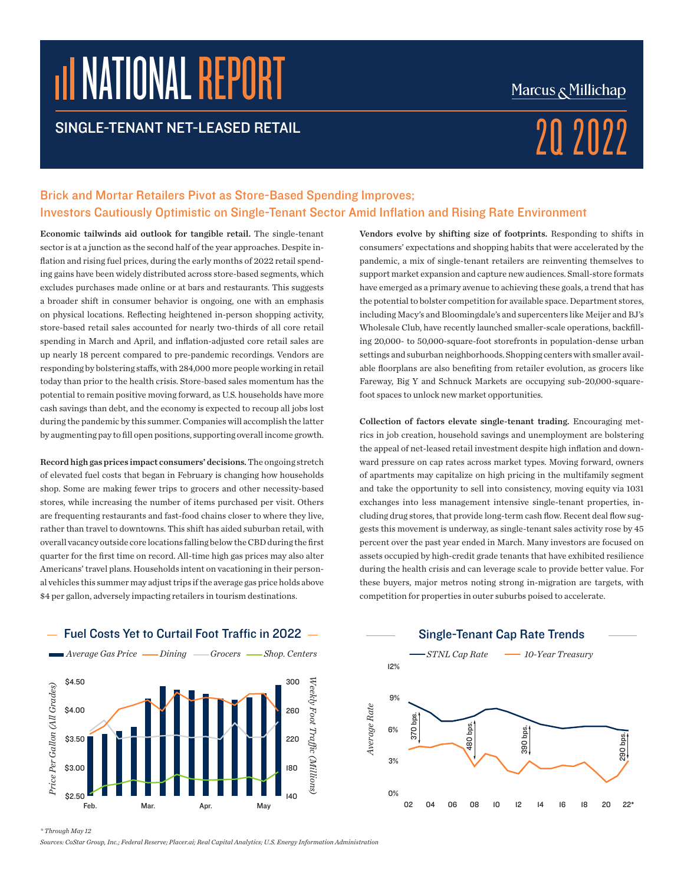# NATIONAL REPORT

### SINGLE-TENANT NET-LEASED RETAIL  $2022$

### Marcus & Millichap

### Brick and Mortar Retailers Pivot as Store-Based Spending Improves; Investors Cautiously Optimistic on Single-Tenant Sector Amid Inflation and Rising Rate Environment

Economic tailwinds aid outlook for tangible retail. The single-tenant sector is at a junction as the second half of the year approaches. Despite inflation and rising fuel prices, during the early months of 2022 retail spending gains have been widely distributed across store-based segments, which excludes purchases made online or at bars and restaurants. This suggests a broader shift in consumer behavior is ongoing, one with an emphasis on physical locations. Reflecting heightened in-person shopping activity, store-based retail sales accounted for nearly two-thirds of all core retail spending in March and April, and inflation-adjusted core retail sales are up nearly 18 percent compared to pre-pandemic recordings. Vendors are responding by bolstering staffs, with 284,000 more people working in retail today than prior to the health crisis. Store-based sales momentum has the potential to remain positive moving forward, as U.S. households have more cash savings than debt, and the economy is expected to recoup all jobs lost during the pandemic by this summer. Companies will accomplish the latter by augmenting pay to fill open positions, supporting overall income growth.

Record high gas prices impact consumers' decisions. The ongoing stretch of elevated fuel costs that began in February is changing how households shop. Some are making fewer trips to grocers and other necessity-based stores, while increasing the number of items purchased per visit. Others are frequenting restaurants and fast-food chains closer to where they live, rather than travel to downtowns. This shift has aided suburban retail, with overall vacancy outside core locations falling below the CBD during the first quarter for the first time on record. All-time high gas prices may also alter Americans' travel plans. Households intent on vacationing in their personal vehicles this summer may adjust trips if the average gas price holds above \$4 per gallon, adversely impacting retailers in tourism destinations.



Fuel Costs Yet to Curtail Foot Traffic in 2022  $-$ 

Vendors evolve by shifting size of footprints. Responding to shifts in consumers' expectations and shopping habits that were accelerated by the pandemic, a mix of single-tenant retailers are reinventing themselves to support market expansion and capture new audiences. Small-store formats have emerged as a primary avenue to achieving these goals, a trend that has the potential to bolster competition for available space. Department stores, including Macy's and Bloomingdale's and supercenters like Meijer and BJ's Wholesale Club, have recently launched smaller-scale operations, backfilling 20,000- to 50,000-square-foot storefronts in population-dense urban settings and suburban neighborhoods. Shopping centers with smaller available floorplans are also benefiting from retailer evolution, as grocers like Fareway, Big Y and Schnuck Markets are occupying sub-20,000-squarefoot spaces to unlock new market opportunities.

Collection of factors elevate single-tenant trading. Encouraging met-*Architecture Collection, household savings and unemployment are bolstering architecture are political Shop.* Centers<sup>*n*</sup> *Gas Price Dininga Broom.* Centers the appeal of net-leased retail investment despite high inflation and downward pressure on cap rates across market types. Moving forward, owners of apartments may capitalize on high pricing in the multifamily segment and take the opportunity to sell into consistency, moving equity via 1031 exchanges into less management intensive single-tenant properties, including drug stores, that provide long-term cash flow. Recent deal flow suggests this movement is underway, as single-tenant sales activity rose by 45 percent over the past year ended in March. Many investors are focused on assets occupied by high-credit grade tenants that have exhibited resilience during the health crisis and can leverage scale to provide better value. For these buyers, major metros noting strong in-migration are targets, with competition for properties in outer suburbs poised to accelerate. de Price Per<br>Price Per Gallon<br>Per Gallon<br>Price Per Gallon referring<br> *Weiki*<br> *Weekly*<br> *Week*<br> *Week* 



*\* Through May 12*

*Sources: CoStar Group, Inc.; Federal Reserve; Placer.ai; Real Capital Analytics; U.S. Energy Information Administration*